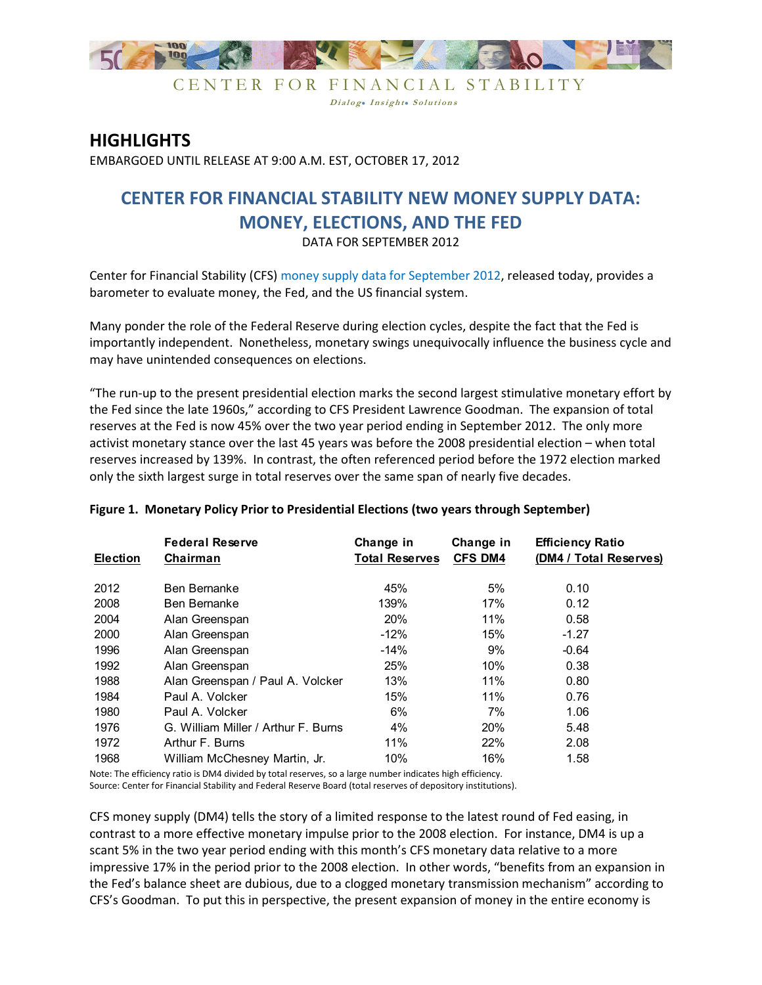

CENTER FOR FINANCIAL STABILITY Dialog. Insight. Solutions

## **HIGHLIGHTS**

EMBARGOED UNTIL RELEASE AT 9:00 A.M. EST, OCTOBER 17, 2012

# **CENTER FOR FINANCIAL STABILITY NEW MONEY SUPPLY DATA: MONEY, ELECTIONS, AND THE FED**

DATA FOR SEPTEMBER 2012

Center for Financial Stability (CFS) money supply data for September 2012, released today, provides a barometer to evaluate money, the Fed, and the US financial system.

Many ponder the role of the Federal Reserve during election cycles, despite the fact that the Fed is importantly independent. Nonetheless, monetary swings unequivocally influence the business cycle and may have unintended consequences on elections.

"The run-up to the present presidential election marks the second largest stimulative monetary effort by the Fed since the late 1960s," according to CFS President Lawrence Goodman. The expansion of total reserves at the Fed is now 45% over the two year period ending in September 2012. The only more activist monetary stance over the last 45 years was before the 2008 presidential election - when total reserves increased by 139%. In contrast, the often referenced period before the 1972 election marked only the sixth largest surge in total reserves over the same span of nearly five decades.

| <b>Election</b> | <b>Federal Reserve</b><br>Chairman  | Change in<br><b>Total Reserves</b> | Change in<br><b>CFS DM4</b> | <b>Efficiency Ratio</b><br>(DM4 / Total Reserves) |
|-----------------|-------------------------------------|------------------------------------|-----------------------------|---------------------------------------------------|
| 2012            | Ben Bernanke                        | 45%                                | 5%                          | 0.10                                              |
| 2008            | Ben Bernanke                        | 139%                               | 17%                         | 0.12                                              |
| 2004            | Alan Greenspan                      | 20%                                | 11%                         | 0.58                                              |
| 2000            | Alan Greenspan                      | $-12%$                             | 15%                         | $-1.27$                                           |
| 1996            | Alan Greenspan                      | $-14%$                             | 9%                          | $-0.64$                                           |
| 1992            | Alan Greenspan                      | 25%                                | 10%                         | 0.38                                              |
| 1988            | Alan Greenspan / Paul A. Volcker    | 13%                                | 11%                         | 0.80                                              |
| 1984            | Paul A. Volcker                     | 15%                                | 11%                         | 0.76                                              |
| 1980            | Paul A. Volcker                     | 6%                                 | 7%                          | 1.06                                              |
| 1976            | G. William Miller / Arthur F. Burns | 4%                                 | 20%                         | 5.48                                              |
| 1972            | Arthur F. Burns                     | 11%                                | 22%                         | 2.08                                              |
| 1968            | William McChesney Martin, Jr.       | 10%                                | 16%                         | 1.58                                              |

### Figure 1. Monetary Policy Prior to Presidential Elections (two years through September)

Note: The efficiency ratio is DM4 divided by total reserves, so a large number indicates high efficiency. Source: Center for Financial Stability and Federal Reserve Board (total reserves of depository institutions).

CFS money supply (DM4) tells the story of a limited response to the latest round of Fed easing, in contrast to a more effective monetary impulse prior to the 2008 election. For instance, DM4 is up a scant 5% in the two year period ending with this month's CFS monetary data relative to a more impressive 17% in the period prior to the 2008 election. In other words, "benefits from an expansion in the Fed's balance sheet are dubious, due to a clogged monetary transmission mechanism" according to CFS's Goodman. To put this in perspective, the present expansion of money in the entire economy is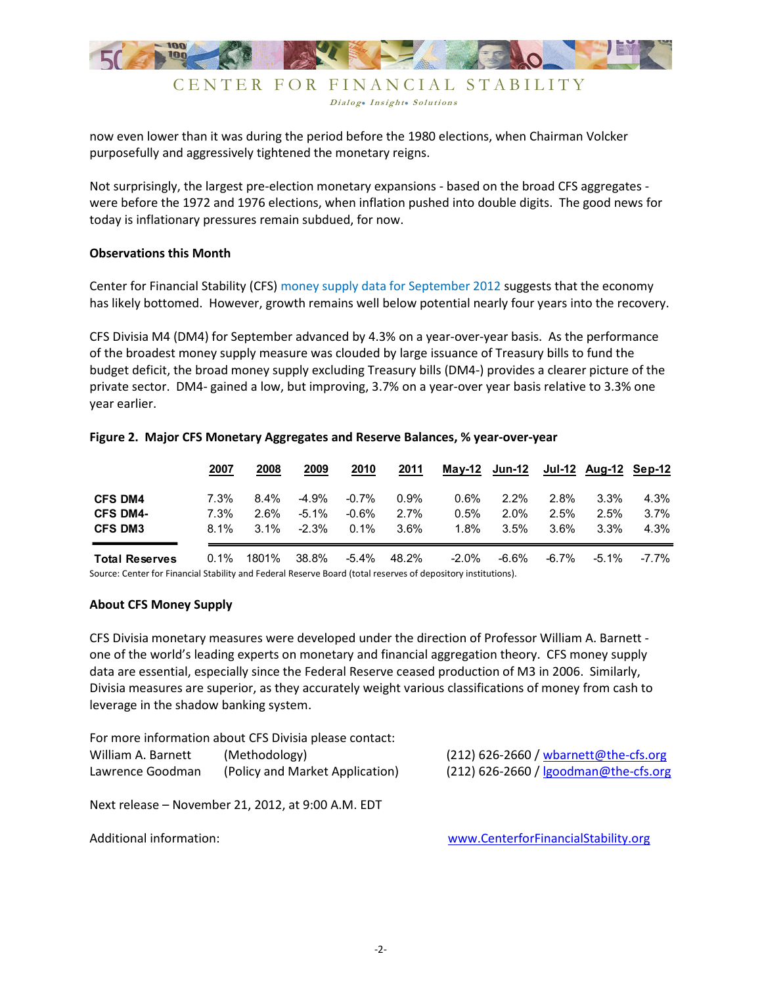

Dialog. Insight. Solutions

now even lower than it was during the period before the 1980 elections, when Chairman Volcker purposefully and aggressively tightened the monetary reigns.

Not surprisingly, the largest pre-election monetary expansions - based on the broad CFS aggregates were before the 1972 and 1976 elections, when inflation pushed into double digits. The good news for today is inflationary pressures remain subdued, for now.

#### **Observations this Month**

Center for Financial Stability (CFS) money supply data for September 2012 suggests that the economy has likely bottomed. However, growth remains well below potential nearly four years into the recovery.

CFS Divisia M4 (DM4) for September advanced by 4.3% on a year-over-year basis. As the performance of the broadest money supply measure was clouded by large issuance of Treasury bills to fund the budget deficit, the broad money supply excluding Treasury bills (DM4-) provides a clearer picture of the private sector. DM4- gained a low, but improving, 3.7% on a year-over year basis relative to 3.3% one year earlier.

|                       | 2007    | 2008    | 2009     | 2010     | 2011  |         | $May-12$ Jun-12 |          | <b>Jul-12 Aug-12 Sep-12</b> |       |
|-----------------------|---------|---------|----------|----------|-------|---------|-----------------|----------|-----------------------------|-------|
| <b>CFS DM4</b>        | 7.3%    | $8.4\%$ | $-4.9%$  | $-0.7%$  | 0.9%  | $0.6\%$ | $2.2\%$         | $2.8\%$  | 3.3%                        | 4.3%  |
| <b>CFS DM4-</b>       | 7.3%    | 2.6%    | $-5.1\%$ | $-0.6%$  | 2.7%  | 0.5%    | $2.0\%$         | 2.5%     | $2.5\%$                     | 3.7%  |
| <b>CFS DM3</b>        | $8.1\%$ | $3.1\%$ | $-2.3%$  | $0.1\%$  | 3.6%  | 1.8%    | 3.5%            | $3.6\%$  | 3.3%                        | 4.3%  |
| <b>Total Reserves</b> | 0.1%    | 1801%   | 38.8%    | $-5.4\%$ | 48.2% | $-2.0%$ | $-6.6%$         | $-6.7\%$ | $-5.1\%$                    | -7.7% |

#### Figure 2. Major CFS Monetary Aggregates and Reserve Balances, % year-over-year

Source: Center for Financial Stability and Federal Reserve Board (total reserves of depository institutions).

#### **About CFS Money Supply**

CFS Divisia monetary measures were developed under the direction of Professor William A. Barnett one of the world's leading experts on monetary and financial aggregation theory. CFS money supply data are essential, especially since the Federal Reserve ceased production of M3 in 2006. Similarly, Divisia measures are superior, as they accurately weight various classifications of money from cash to leverage in the shadow banking system.

For more information about CFS Divisia please contact: William A Rarnott  $(Mathodddom)$ 

| WILLIAM A. DATTICLL | <i>INCHIVADIUKYI</i>            |
|---------------------|---------------------------------|
| Lawrence Goodman    | (Policy and Market Application) |

(212) 626-2660 / wbarnett@the-cfs.org (212) 626-2660 / goodman@the-cfs.org

Next release - November 21, 2012, at 9:00 A.M. EDT

<span id="page-1-0"></span>Additional information:

www.CenterforFinancialStability.org